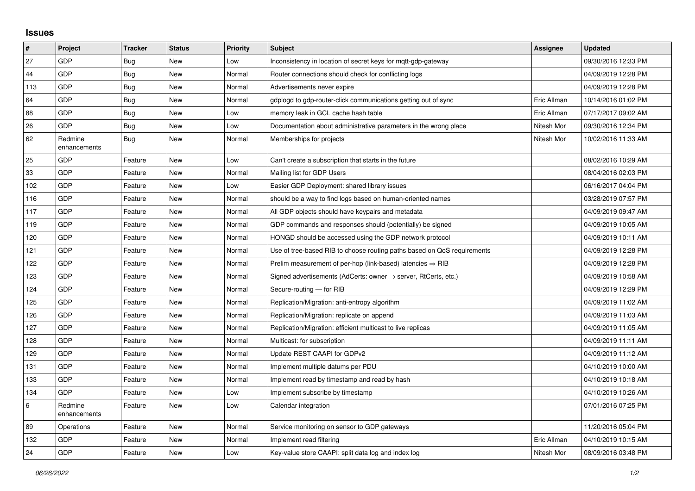## **Issues**

| $\sharp$ | Project                 | <b>Tracker</b> | <b>Status</b> | <b>Priority</b> | <b>Subject</b>                                                          | <b>Assignee</b> | <b>Updated</b>      |
|----------|-------------------------|----------------|---------------|-----------------|-------------------------------------------------------------------------|-----------------|---------------------|
| 27       | <b>GDP</b>              | Bug            | <b>New</b>    | Low             | Inconsistency in location of secret keys for mqtt-gdp-gateway           |                 | 09/30/2016 12:33 PM |
| 44       | <b>GDP</b>              | Bug            | <b>New</b>    | Normal          | Router connections should check for conflicting logs                    |                 | 04/09/2019 12:28 PM |
| 113      | GDP                     | Bug            | New           | Normal          | Advertisements never expire                                             |                 | 04/09/2019 12:28 PM |
| 64       | <b>GDP</b>              | Bug            | <b>New</b>    | Normal          | gdplogd to gdp-router-click communications getting out of sync          | Eric Allman     | 10/14/2016 01:02 PM |
| 88       | GDP                     | Bug            | <b>New</b>    | Low             | memory leak in GCL cache hash table                                     | Eric Allman     | 07/17/2017 09:02 AM |
| 26       | GDP                     | Bug            | <b>New</b>    | Low             | Documentation about administrative parameters in the wrong place        | Nitesh Mor      | 09/30/2016 12:34 PM |
| 62       | Redmine<br>enhancements | <b>Bug</b>     | <b>New</b>    | Normal          | Memberships for projects                                                | Nitesh Mor      | 10/02/2016 11:33 AM |
| 25       | <b>GDP</b>              | Feature        | <b>New</b>    | Low             | Can't create a subscription that starts in the future                   |                 | 08/02/2016 10:29 AM |
| $33\,$   | GDP                     | Feature        | <b>New</b>    | Normal          | Mailing list for GDP Users                                              |                 | 08/04/2016 02:03 PM |
| 102      | <b>GDP</b>              | Feature        | <b>New</b>    | Low             | Easier GDP Deployment: shared library issues                            |                 | 06/16/2017 04:04 PM |
| 116      | GDP                     | Feature        | <b>New</b>    | Normal          | should be a way to find logs based on human-oriented names              |                 | 03/28/2019 07:57 PM |
| 117      | <b>GDP</b>              | Feature        | <b>New</b>    | Normal          | All GDP objects should have keypairs and metadata                       |                 | 04/09/2019 09:47 AM |
| 119      | <b>GDP</b>              | Feature        | <b>New</b>    | Normal          | GDP commands and responses should (potentially) be signed               |                 | 04/09/2019 10:05 AM |
| 120      | GDP                     | Feature        | <b>New</b>    | Normal          | HONGD should be accessed using the GDP network protocol                 |                 | 04/09/2019 10:11 AM |
| 121      | <b>GDP</b>              | Feature        | <b>New</b>    | Normal          | Use of tree-based RIB to choose routing paths based on QoS requirements |                 | 04/09/2019 12:28 PM |
| 122      | <b>GDP</b>              | Feature        | <b>New</b>    | Normal          | Prelim measurement of per-hop (link-based) latencies $\Rightarrow$ RIB  |                 | 04/09/2019 12:28 PM |
| 123      | GDP                     | Feature        | <b>New</b>    | Normal          | Signed advertisements (AdCerts: owner → server, RtCerts, etc.)          |                 | 04/09/2019 10:58 AM |
| 124      | GDP                     | Feature        | <b>New</b>    | Normal          | Secure-routing - for RIB                                                |                 | 04/09/2019 12:29 PM |
| 125      | <b>GDP</b>              | Feature        | <b>New</b>    | Normal          | Replication/Migration: anti-entropy algorithm                           |                 | 04/09/2019 11:02 AM |
| 126      | GDP                     | Feature        | <b>New</b>    | Normal          | Replication/Migration: replicate on append                              |                 | 04/09/2019 11:03 AM |
| 127      | <b>GDP</b>              | Feature        | <b>New</b>    | Normal          | Replication/Migration: efficient multicast to live replicas             |                 | 04/09/2019 11:05 AM |
| 128      | <b>GDP</b>              | Feature        | <b>New</b>    | Normal          | Multicast: for subscription                                             |                 | 04/09/2019 11:11 AM |
| 129      | GDP                     | Feature        | <b>New</b>    | Normal          | Update REST CAAPI for GDPv2                                             |                 | 04/09/2019 11:12 AM |
| 131      | <b>GDP</b>              | Feature        | <b>New</b>    | Normal          | Implement multiple datums per PDU                                       |                 | 04/10/2019 10:00 AM |
| 133      | <b>GDP</b>              | Feature        | <b>New</b>    | Normal          | Implement read by timestamp and read by hash                            |                 | 04/10/2019 10:18 AM |
| 134      | <b>GDP</b>              | Feature        | <b>New</b>    | Low             | Implement subscribe by timestamp                                        |                 | 04/10/2019 10:26 AM |
| $\,6\,$  | Redmine<br>enhancements | Feature        | <b>New</b>    | Low             | Calendar integration                                                    |                 | 07/01/2016 07:25 PM |
| 89       | Operations              | Feature        | <b>New</b>    | Normal          | Service monitoring on sensor to GDP gateways                            |                 | 11/20/2016 05:04 PM |
| 132      | GDP                     | Feature        | <b>New</b>    | Normal          | Implement read filtering                                                | Eric Allman     | 04/10/2019 10:15 AM |
| 24       | <b>GDP</b>              | Feature        | <b>New</b>    | Low             | Key-value store CAAPI: split data log and index log                     | Nitesh Mor      | 08/09/2016 03:48 PM |